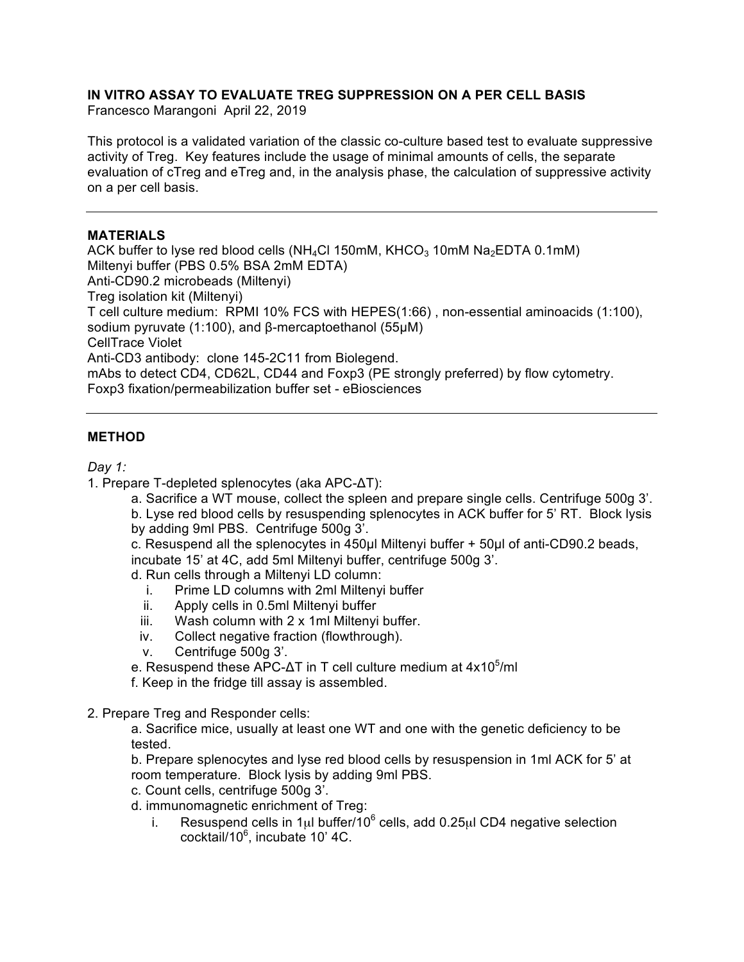# **IN VITRO ASSAY TO EVALUATE TREG SUPPRESSION ON A PER CELL BASIS**

Francesco Marangoni April 22, 2019

This protocol is a validated variation of the classic co-culture based test to evaluate suppressive activity of Treg. Key features include the usage of minimal amounts of cells, the separate evaluation of cTreg and eTreg and, in the analysis phase, the calculation of suppressive activity on a per cell basis.

#### **MATERIALS**

ACK buffer to lyse red blood cells ( $NH_4C1$  150mM, KHCO<sub>3</sub> 10mM Na<sub>2</sub>EDTA 0.1mM) Miltenyi buffer (PBS 0.5% BSA 2mM EDTA) Anti-CD90.2 microbeads (Miltenyi) Treg isolation kit (Miltenyi) T cell culture medium: RPMI 10% FCS with HEPES(1:66) , non-essential aminoacids (1:100), sodium pyruvate (1:100), and β-mercaptoethanol (55µM) CellTrace Violet Anti-CD3 antibody: clone 145-2C11 from Biolegend. mAbs to detect CD4, CD62L, CD44 and Foxp3 (PE strongly preferred) by flow cytometry. Foxp3 fixation/permeabilization buffer set - eBiosciences

## **METHOD**

*Day 1:*

- 1. Prepare T-depleted splenocytes (aka APC-ΔT):
	- a. Sacrifice a WT mouse, collect the spleen and prepare single cells. Centrifuge 500g 3'.

b. Lyse red blood cells by resuspending splenocytes in ACK buffer for 5' RT. Block lysis by adding 9ml PBS. Centrifuge 500g 3'.

c. Resuspend all the splenocytes in 450µl Miltenyi buffer + 50µl of anti-CD90.2 beads, incubate 15' at 4C, add 5ml Miltenyi buffer, centrifuge 500g 3'.

d. Run cells through a Miltenyi LD column:

- i. Prime LD columns with 2ml Miltenyi buffer
- ii. Apply cells in 0.5ml Miltenyi buffer
- iii. Wash column with 2 x 1ml Miltenyi buffer.
- iv. Collect negative fraction (flowthrough).
- v. Centrifuge 500g 3'.

e. Resuspend these APC-ΔT in T cell culture medium at 4x10<sup>5</sup>/ml

f. Keep in the fridge till assay is assembled.

#### 2. Prepare Treg and Responder cells:

a. Sacrifice mice, usually at least one WT and one with the genetic deficiency to be tested.

b. Prepare splenocytes and lyse red blood cells by resuspension in 1ml ACK for 5' at room temperature. Block lysis by adding 9ml PBS.

c. Count cells, centrifuge 500g 3'.

d. immunomagnetic enrichment of Treg:

i. Resuspend cells in 1 $\mu$ l buffer/10<sup>6</sup> cells, add 0.25 $\mu$ l CD4 negative selection cocktail/10<sup>6</sup>, incubate 10' 4C.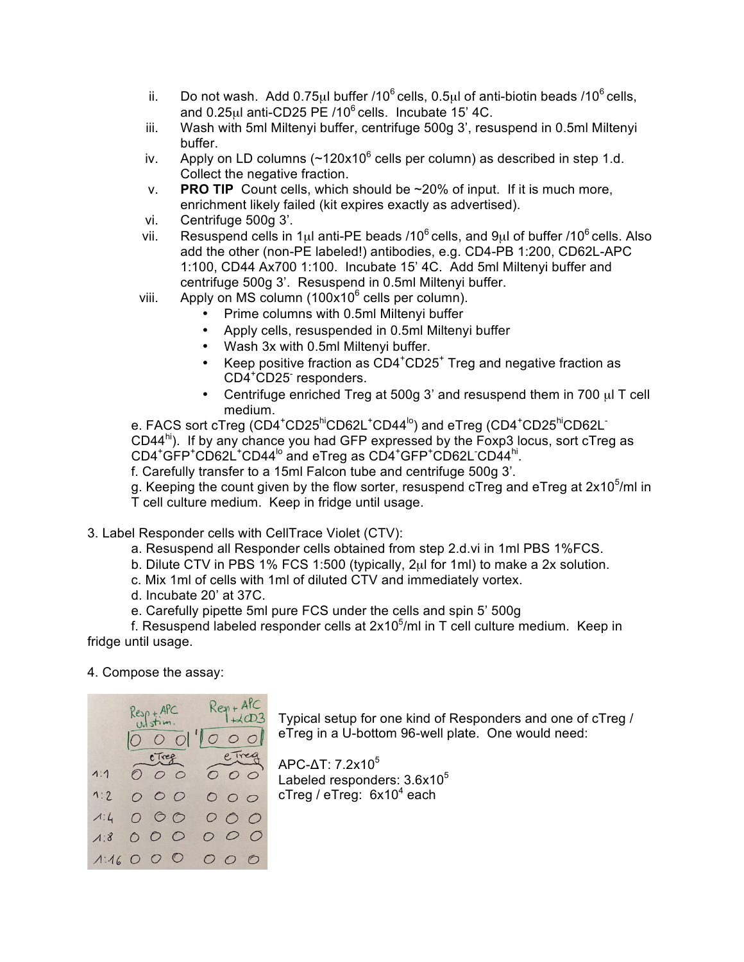- ii. Do not wash. Add  $0.75\mu$ l buffer /10<sup>6</sup> cells, 0.5 $\mu$ l of anti-biotin beads /10<sup>6</sup> cells, and  $0.25$ <sub>ul</sub> anti-CD25 PE  $/10^6$  cells. Incubate 15' 4C.
- iii. Wash with 5ml Miltenyi buffer, centrifuge 500g 3', resuspend in 0.5ml Miltenyi buffer.
- iv. Apply on LD columns  $({\sim}120x10^6$  cells per column) as described in step 1.d. Collect the negative fraction.
- v. **PRO TIP** Count cells, which should be ~20% of input. If it is much more, enrichment likely failed (kit expires exactly as advertised).
- vi. Centrifuge 500g 3'.
- vii. Resuspend cells in 1 $\mu$ l anti-PE beads /10<sup>6</sup> cells, and 9 $\mu$ l of buffer /10<sup>6</sup> cells. Also add the other (non-PE labeled!) antibodies, e.g. CD4-PB 1:200, CD62L-APC 1:100, CD44 Ax700 1:100. Incubate 15' 4C. Add 5ml Miltenyi buffer and centrifuge 500g 3'. Resuspend in 0.5ml Miltenyi buffer.
- viii. Apply on MS column  $(100x10^6$  cells per column).
	- Prime columns with 0.5ml Miltenyi buffer
		- Apply cells, resuspended in 0.5ml Miltenyi buffer
		- Wash 3x with 0.5ml Miltenyi buffer.
		- Keep positive fraction as CD4<sup>+</sup>CD25<sup>+</sup> Treg and negative fraction as CD4<sup>+</sup> CD25- responders.
	- Centrifuge enriched Treg at 500g 3' and resuspend them in 700 µl T cell medium.

e. FACS sort cTreg (CD4<sup>+</sup>CD25<sup>hi</sup>CD62L<sup>+</sup>CD44<sup>lo</sup>) and eTreg (CD4<sup>+</sup>CD25<sup>hi</sup>CD62L<sup>-</sup> CD44 $^{\text{hi}}$ ). If by any chance you had GFP expressed by the Foxp3 locus, sort cTreg as CD4<sup>+</sup>GFP<sup>+</sup>CD62L<sup>+</sup>CD44<sup>lo</sup> and eTreg as CD4<sup>+</sup>GFP<sup>+</sup>CD62L CD44<sup>hi</sup>.

f. Carefully transfer to a 15ml Falcon tube and centrifuge 500g 3'.

g. Keeping the count given by the flow sorter, resuspend cTreg and eTreg at  $2x10^5$ /ml in T cell culture medium. Keep in fridge until usage.

## 3. Label Responder cells with CellTrace Violet (CTV):

- a. Resuspend all Responder cells obtained from step 2.d.vi in 1ml PBS 1%FCS.
- b. Dilute CTV in PBS 1% FCS 1:500 (typically, 2µl for 1ml) to make a 2x solution.
- c. Mix 1ml of cells with 1ml of diluted CTV and immediately vortex.
- d. Incubate 20' at 37C.
- e. Carefully pipette 5ml pure FCS under the cells and spin 5' 500g

f. Resuspend labeled responder cells at  $2x10^5$ /ml in T cell culture medium. Keep in fridge until usage.

#### 4. Compose the assay:



Typical setup for one kind of Responders and one of cTreg / eTreg in a U-bottom 96-well plate. One would need:

APC-ΔT: 7.2x10<sup>5</sup> Labeled responders:  $3.6x10<sup>5</sup>$ cTreg / eTreg:  $6x10^4$  each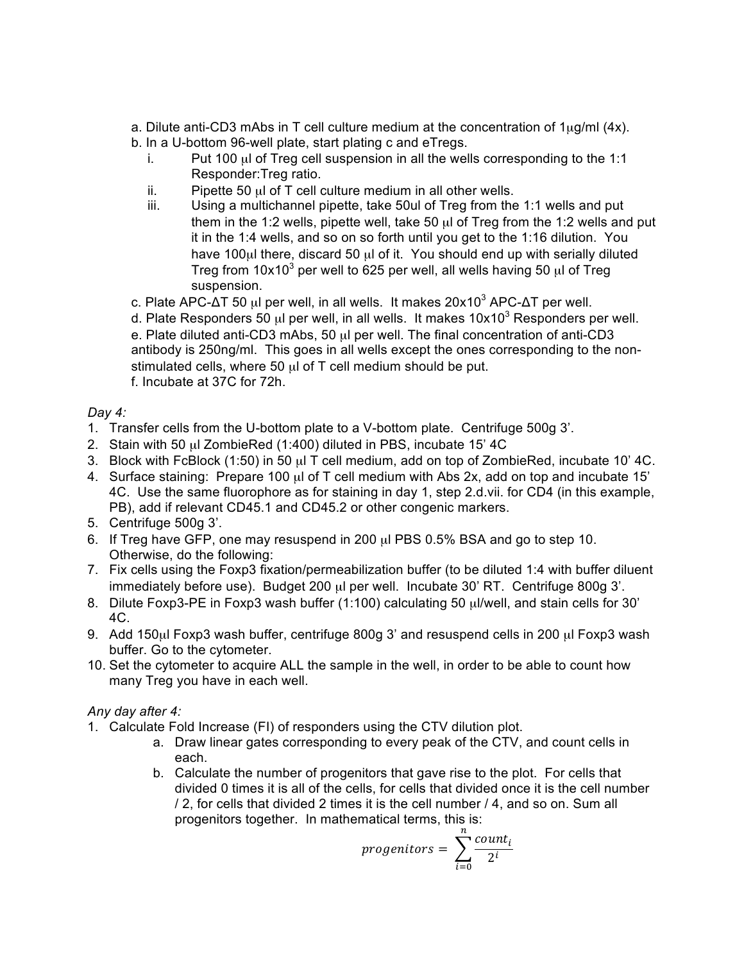a. Dilute anti-CD3 mAbs in T cell culture medium at the concentration of  $1\mu q/ml$  (4x). b. In a U-bottom 96-well plate, start plating c and eTregs.

- i. Put 100  $\mu$  of Treg cell suspension in all the wells corresponding to the 1:1 Responder:Treg ratio.
- ii. Pipette 50  $\mu$ l of T cell culture medium in all other wells.
- iii. Using a multichannel pipette, take 50ul of Treg from the 1:1 wells and put them in the 1:2 wells, pipette well, take 50 µl of Treg from the 1:2 wells and put it in the 1:4 wells, and so on so forth until you get to the 1:16 dilution. You have 100µl there, discard 50 µl of it. You should end up with serially diluted Treg from  $10x10^3$  per well to 625 per well, all wells having 50  $\mu$ l of Treg suspension.

c. Plate APC- $\Delta$ T 50 μl per well, in all wells. It makes 20x10<sup>3</sup> APC- $\Delta$ T per well.

d. Plate Responders 50  $\mu$ l per well, in all wells. It makes 10x10<sup>3</sup> Responders per well. e. Plate diluted anti-CD3 mAbs, 50 µl per well. The final concentration of anti-CD3 antibody is 250ng/ml. This goes in all wells except the ones corresponding to the nonstimulated cells, where 50 µl of T cell medium should be put. f. Incubate at 37C for 72h.

## *Day 4:*

- 1. Transfer cells from the U-bottom plate to a V-bottom plate. Centrifuge 500g 3'.
- 2. Stain with 50 µl ZombieRed (1:400) diluted in PBS, incubate 15' 4C
- 3. Block with FcBlock (1:50) in 50 µl T cell medium, add on top of ZombieRed, incubate 10' 4C.
- 4. Surface staining: Prepare 100  $\mu$  of T cell medium with Abs 2x, add on top and incubate 15' 4C. Use the same fluorophore as for staining in day 1, step 2.d.vii. for CD4 (in this example, PB), add if relevant CD45.1 and CD45.2 or other congenic markers.
- 5. Centrifuge 500g 3'.
- 6. If Treg have GFP, one may resuspend in 200 µl PBS 0.5% BSA and go to step 10. Otherwise, do the following:
- 7. Fix cells using the Foxp3 fixation/permeabilization buffer (to be diluted 1:4 with buffer diluent immediately before use). Budget 200 µl per well. Incubate 30' RT. Centrifuge 800g 3'.
- 8. Dilute Foxp3-PE in Foxp3 wash buffer (1:100) calculating 50 µl/well, and stain cells for 30' 4C.
- 9. Add 150µl Foxp3 wash buffer, centrifuge 800g 3' and resuspend cells in 200 µl Foxp3 wash buffer. Go to the cytometer.
- 10. Set the cytometer to acquire ALL the sample in the well, in order to be able to count how many Treg you have in each well.

## *Any day after 4:*

- 1. Calculate Fold Increase (FI) of responders using the CTV dilution plot.
	- a. Draw linear gates corresponding to every peak of the CTV, and count cells in each.
	- b. Calculate the number of progenitors that gave rise to the plot. For cells that divided 0 times it is all of the cells, for cells that divided once it is the cell number / 2, for cells that divided 2 times it is the cell number / 4, and so on. Sum all progenitors together. In mathematical terms, this is:

$$
progenitors = \sum_{i=0}^{n} \frac{count_i}{2^i}
$$